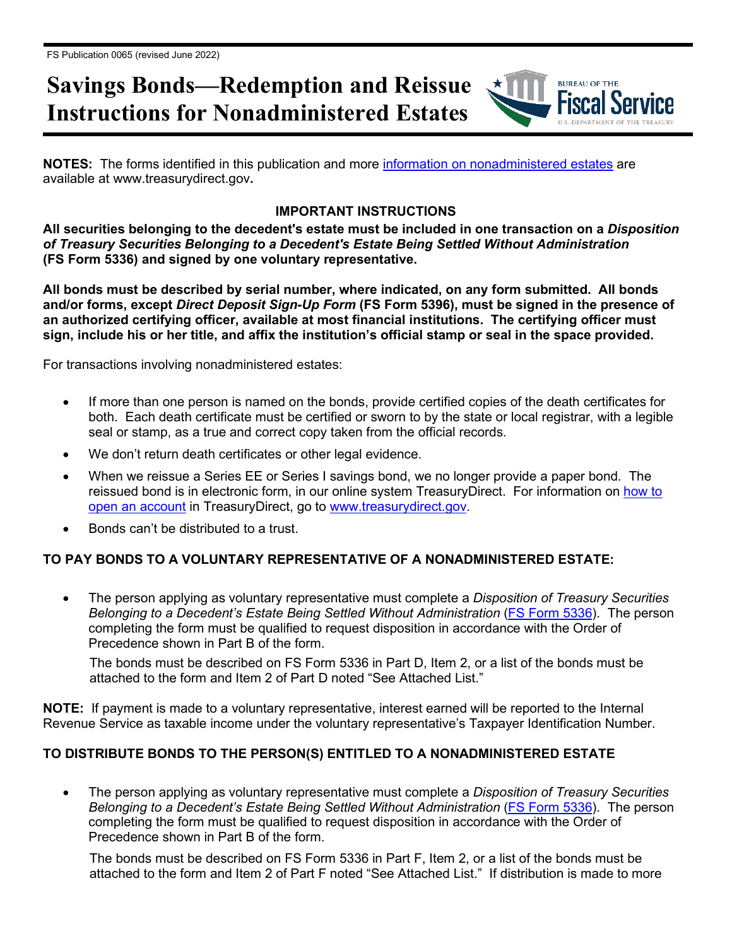# **Savings Bonds—Redemption and Reissue Instructions for Nonadministered Estates**

**NOTES:** The forms identified in this publication and more [information on nonadministered estates](https://www.treasurydirect.gov/indiv/tools/tools_nonadmestates.htm) are available at www.treasurydirect.gov**.** 

### **IMPORTANT INSTRUCTIONS**

**BUREAU OF THE** 

**All securities belonging to the decedent's estate must be included in one transaction on a** *Disposition of Treasury Securities Belonging to a Decedent's Estate Being Settled Without Administration* **(FS Form 5336) and signed by one voluntary representative.**

**All bonds must be described by serial number, where indicated, on any form submitted. All bonds and/or forms, except** *Direct Deposit Sign-Up Form* **(FS Form 5396), must be signed in the presence of an authorized certifying officer, available at most financial institutions. The certifying officer must sign, include his or her title, and affix the institution's official stamp or seal in the space provided.**

For transactions involving nonadministered estates:

- If more than one person is named on the bonds, provide certified copies of the death certificates for both. Each death certificate must be certified or sworn to by the state or local registrar, with a legible seal or stamp, as a true and correct copy taken from the official records.
- We don't return death certificates or other legal evidence.
- When we reissue a Series EE or Series I savings bond, we no longer provide a paper bond. The reissued bond is in electronic form, in our online system TreasuryDirect. For information on [how to](http://www.treasurydirect.gov/indiv/myaccount/myaccount_treasurydirect.htm)  [open an account](http://www.treasurydirect.gov/indiv/myaccount/myaccount_treasurydirect.htm) in TreasuryDirect, go to [www.treasurydirect.gov.](http://www.treasurydirect.gov/)
- Bonds can't be distributed to a trust.

### **TO PAY BONDS TO A VOLUNTARY REPRESENTATIVE OF A NONADMINISTERED ESTATE:**

• The person applying as voluntary representative must complete a *Disposition of Treasury Securities Belonging to a Decedent's Estate Being Settled Without Administration* [\(FS Form 5336\)](https://www.treasurydirect.gov/forms/sav5336.pdf). The person completing the form must be qualified to request disposition in accordance with the Order of Precedence shown in Part B of the form.

The bonds must be described on FS Form 5336 in Part D, Item 2, or a list of the bonds must be attached to the form and Item 2 of Part D noted "See Attached List."

**NOTE:** If payment is made to a voluntary representative, interest earned will be reported to the Internal Revenue Service as taxable income under the voluntary representative's Taxpayer Identification Number.

#### **TO DISTRIBUTE BONDS TO THE PERSON(S) ENTITLED TO A NONADMINISTERED ESTATE**

• The person applying as voluntary representative must complete a *Disposition of Treasury Securities Belonging to a Decedent's Estate Being Settled Without Administration* [\(FS Form 5336\)](https://www.treasurydirect.gov/forms/sav5336.pdf). The person completing the form must be qualified to request disposition in accordance with the Order of Precedence shown in Part B of the form.

The bonds must be described on FS Form 5336 in Part F, Item 2, or a list of the bonds must be attached to the form and Item 2 of Part F noted "See Attached List." If distribution is made to more